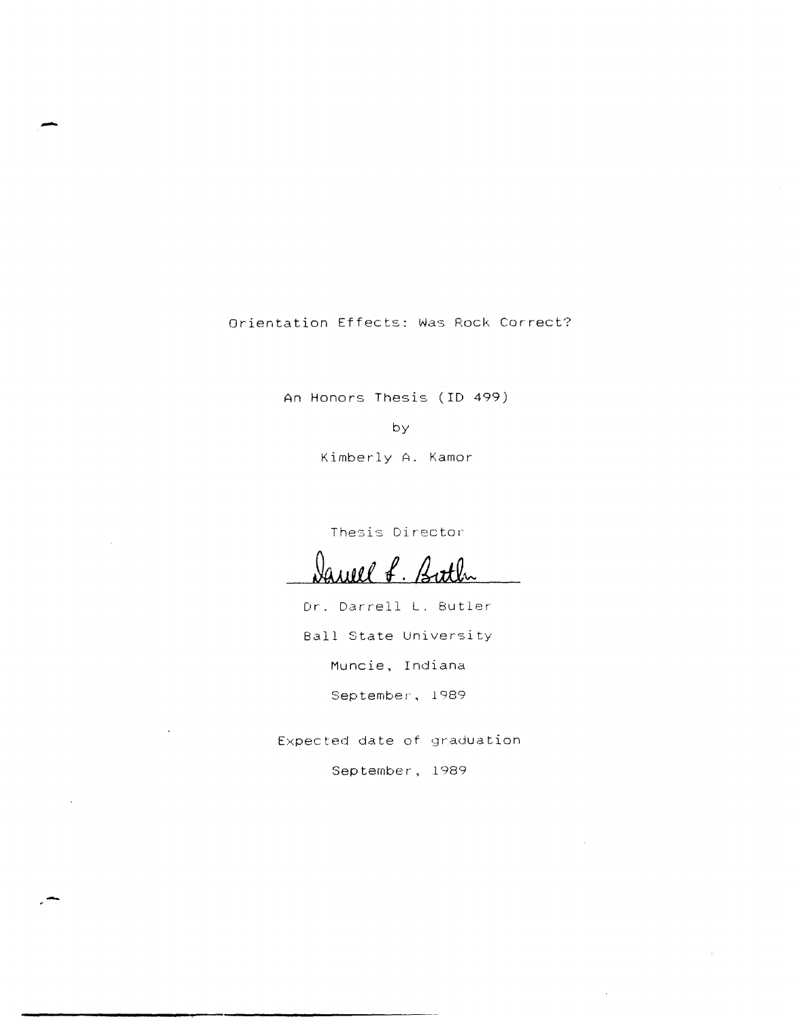Orientation Effects: Was Rock Correct?

-

An Honors Thesis (ID 499)

by

Kimberly A. Kamor

Thesis Director

Daviel f. Buth

Dr. Darrell L. Butler Ball State University Muncie, Indiana September, 1989

Expected date of graduation

September, 1989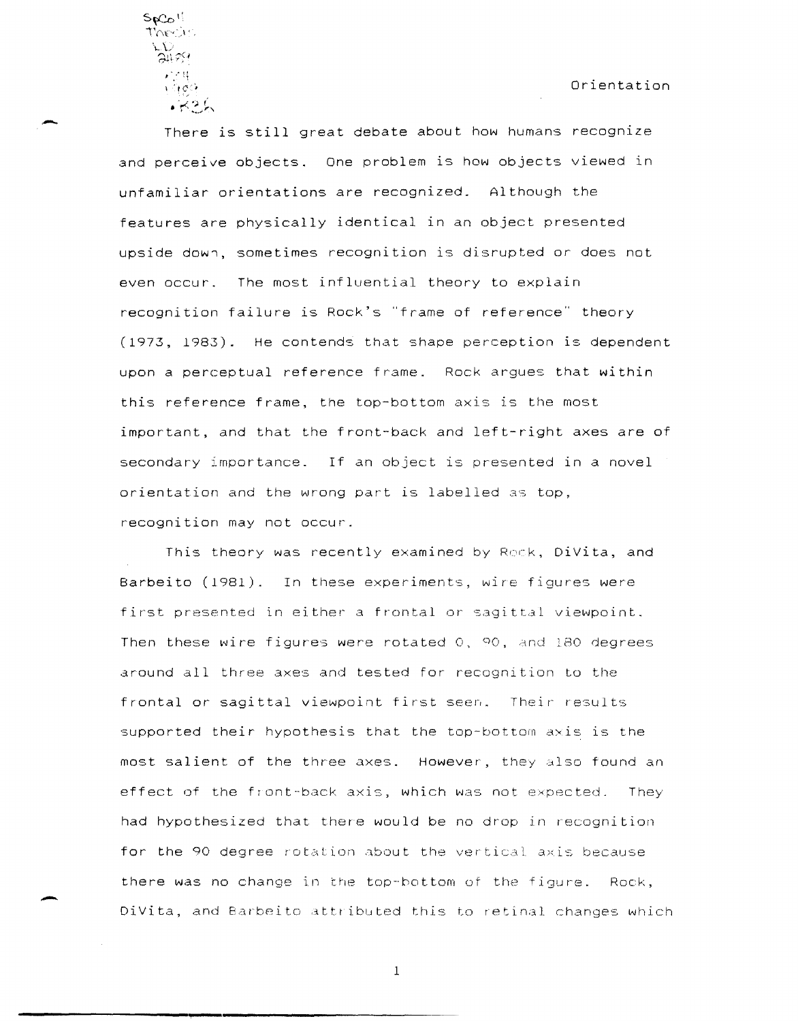${\cal S}$ p ${\cal C}_{{\cal O}}$   $\cup$ i'n(":> '  $\sum\limits_{\alpha\in \mathbb{N}}^{\infty}$  $1.100$  $\sqrt{5}$ 

-

-

There is still great debate about how humans recognize and perceive objects. One problem is how objects viewed in unfamiliar orientations are recognized. Although the features are physically identical in an object presented upside down, sometimes recognition is disrupted or does not even occur. The most influential theory to explain recognition failure is Rock's "frame of reference" theory (1973, 1983). He contends that shape perception is dependent upon a perceptual reference frame. Rock argues that within this reference frame, the top-bottom axis is the most important, and that the front-back and left-right axes are of secondary importance. If an object is presented in a novel orientation and the wrong part is labelled as top, recognition may not occur.

This theory was recently examined by Rock, DiVita, and Barbeito (1981). In these experiments, wire figures were first presented in either a frontal or sagittal viewpoint. Then these wire figures were rotated 0, 90, and 180 degrees around all three axes and tested for recognition to the frontal or sagittal viewpoint first seen. Their results supported their hypothesis that the top-bottom axis is the most salient of the three axes. However, they also found an effect of the front-back axis, which was not expected. They had hypothesized that there would be no drop in recognition for the 90 degree rotation about the vertical axis because there was no change in the top-hottom of the figure. Rock, DiVita, and Barbeito attributed this to retinal changes which

1

**------------------------'.-------------------------------------**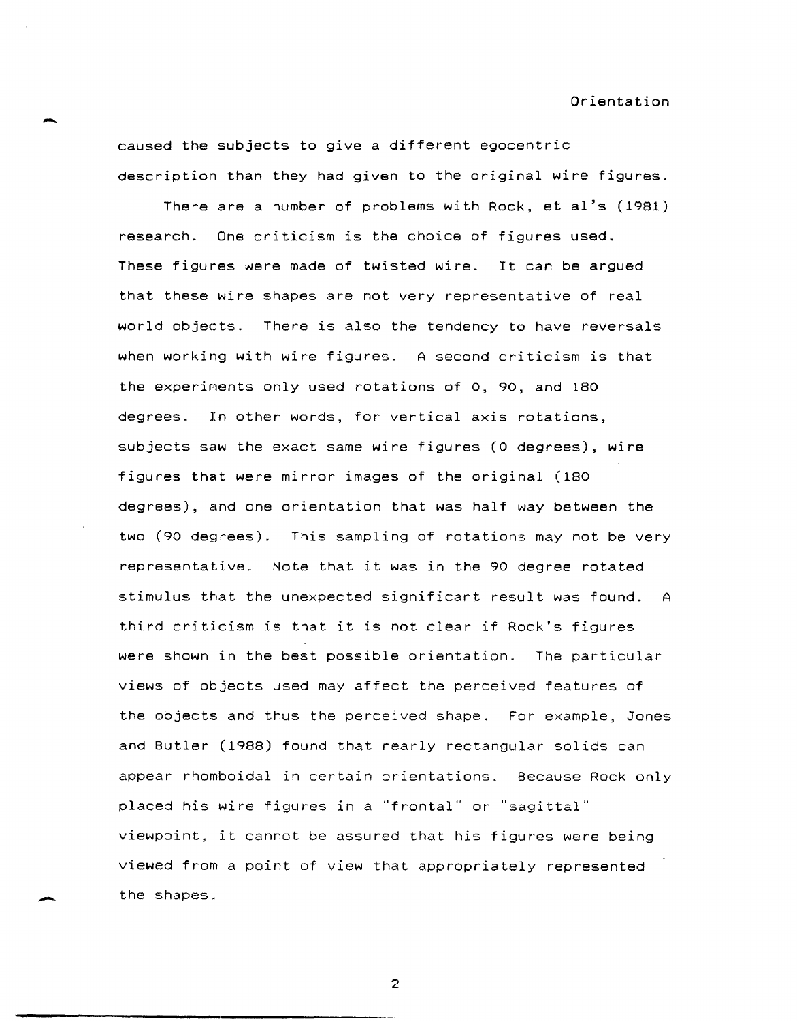- Orientation caused the subjects to give a different egocentric description than they had given to the original wire figures.

> There are a number of problems with Rock, et aI's (1981) research. One criticism is the choice of figures used. These figures were made of twisted wire. It can be argued that these wire shapes are not very representative of real world objects. There is also the tendency to have reversals when working with wire figures. A second criticism is that the experiments only used rotations of 0, 90, and 180 degrees. In other words, for vertical axis rotations, subjects saw the exact same wire figures (0 degrees), wire figures that were mirror images of the original (180 degrees), and one orientation that was half way between the two (90 degrees). This sampling of rotations may not be very representative. Note that it was in the 90 degree rotated stimulus that the unexpected significant result was found. A third criticism is that it is not clear if Rock's figures were shown in the best possible orientation. The particular views of objects used may affect the perceived features of the objects and thus the perceived shape. For example, Jones and Butler (1988) found that nearly rectangular solids can appear rhomboidal in certain orientations. Because Rock only placed his wire figures in a "frontal" or "sagittal" viewpoint, it cannot be assured that his figures were being viewed from a point of view that appropriately represented the shapes.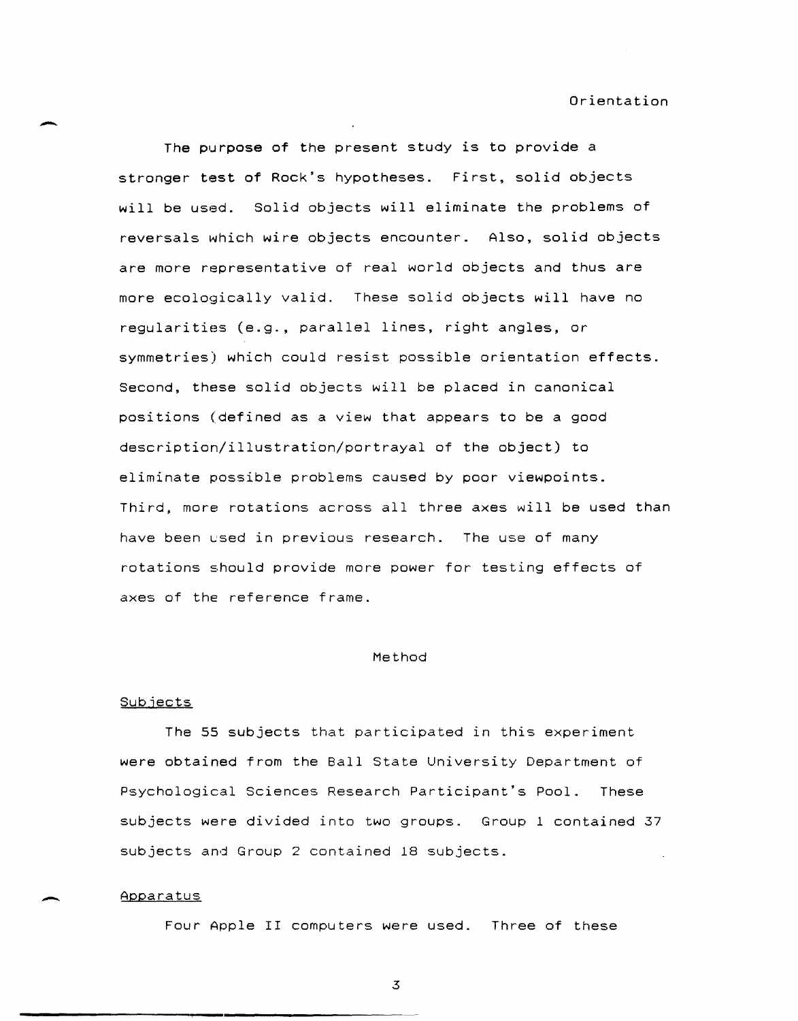The purpose of the present study is to provide a stronger test of Rock's hypotheses. First, solid objects will be used. Solid objects will eliminate the problems of reversals which wire objects encounter. Also, solid objects are more representative of real world objects and thus are more ecologically valid. These solid objects will have no regularities (e.g., parallel lines, right angles, or symmetries) which could resist possible orientation effects. Second, these solid objects will be placed in canonical positions (defined as a view that appears to be a good description/illustration/portrayal of the object) to eliminate possible problems caused by poor viewpoints. Third, more rotations across all three axes will be used than have been used in previous research. The use of many rotations should provide more power for testing effects of axes of the reference frame.

# Method

# Subjects

The 55 subjects that participated in this experiment were obtained from the Ball State University Department of Psychological Sciences Research Participant's Pool. These subjects were divided into two groups. Group 1 contained 37 subjects and Group 2 contained 18 subjects.

### Apparatus

Four Apple II computers were used. Three of these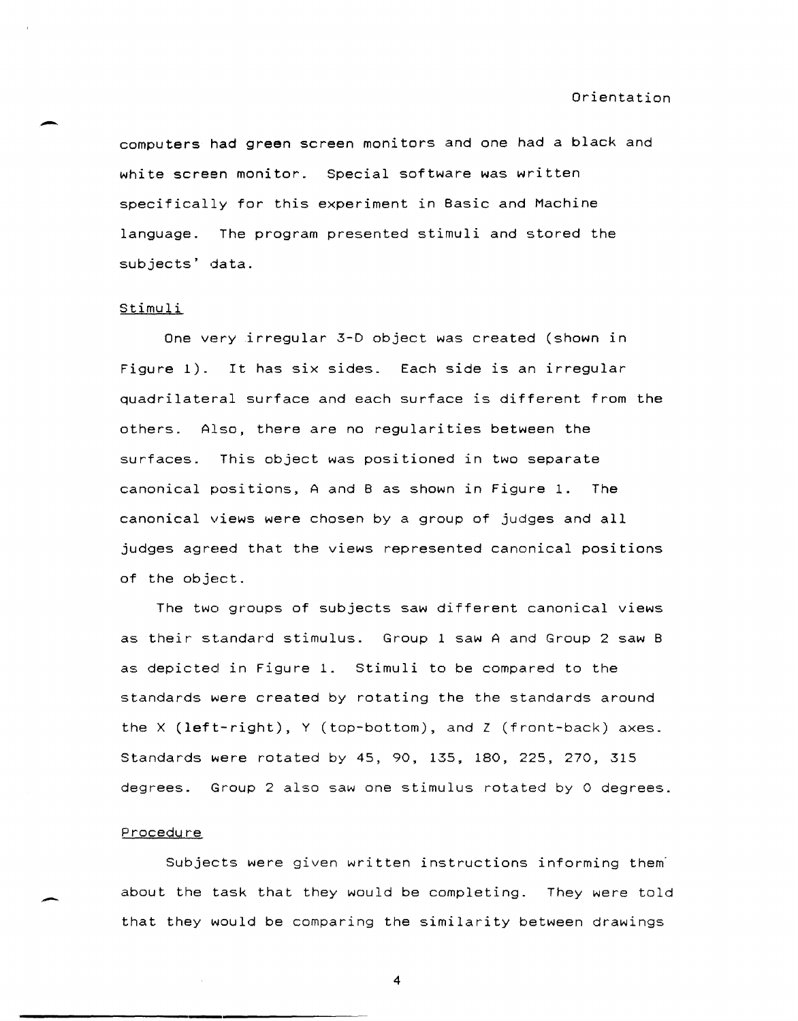computers had green screen monitors and one had a black and white screen monitor. Special software was written specifically for this experiment in Basic and Machine language. The program presented stimuli and stored the subjects' data.

### Stimuli

One very irregular 3-D object was created (shown in Figure 1). It has six sides. Each side is an irregular quadrilateral surface and each surface is different from the others. Also, there are no regularities between the surfaces. This object was positioned in two separate canonical positions, A and B as shown in Figure 1. The canonical views were chosen by a group of judges and all judges agreed that the views represented canonical positions of the object.

The two groups of subjects saw different canonical views as their standard stimulus. Group 1 saw A and Group 2 saw B as depicted in Figure 1. Stimuli to be compared to the standards were created by rotating the the standards around the X (left-right), Y (top-bottom), and Z (front-back) axes. Standards were rotated by 45, 90, 135, 180, 225, 270, 315 degrees. Group 2 also saw one stimulus rotated by 0 degrees.

# Procedure

Subjects were given written instructions informing them about the task that they would be completing. They were told that they would be comparing the similarity between drawings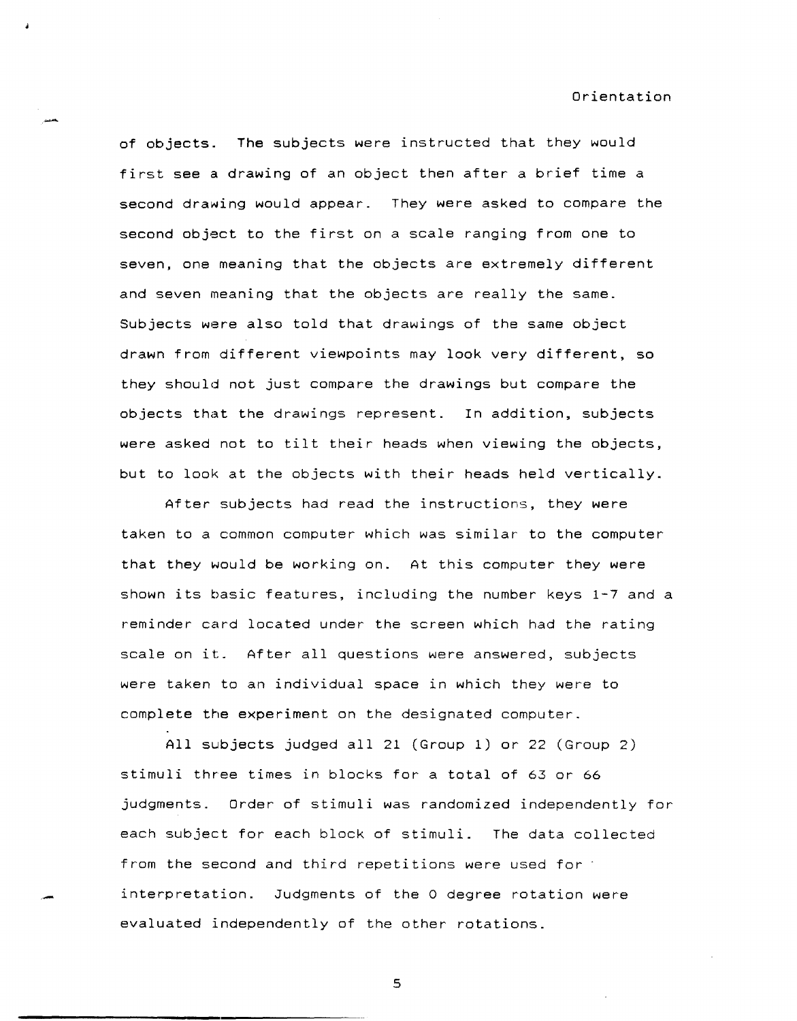of objects. The subjects were instructed that they would first see a drawing of an object then after a brief time a second drawing would appear. They were asked to compare the second object to the first on a scale ranging from one to seven, one meaning that the objects are extremely different and seven meaning that the objects are really the same. Subjects were also told that drawings of the same object drawn from different viewpoints may look very different, so they should not just compare the drawings but compare the objects that the drawings represent. In addition, subjects were asked not to tilt their heads when viewing the objects, but to look at the objects with their heads held vertically.

After subjects had read the instructions, they were taken to a common computer which was similar to the computer that they would be working on. At this computer they were shown its basic features, including the number keys 1-7 and a reminder card located under the screen which had the rating scale on it. After all questions were answered, subjects were taken to an individual space in which they were to complete the experiment on the designated computer.

All subjects judged all 21 (Group 1) or 22 (Group 2) stimuli three times in blocks for a total of 63 or 66 judgments. Order of stimuli was randomized independently for each subject for each block of stimuli. The data collected from the second and third repetitions were used for interpretation. Judgments of the 0 degree rotation were evaluated independently of the other rotations.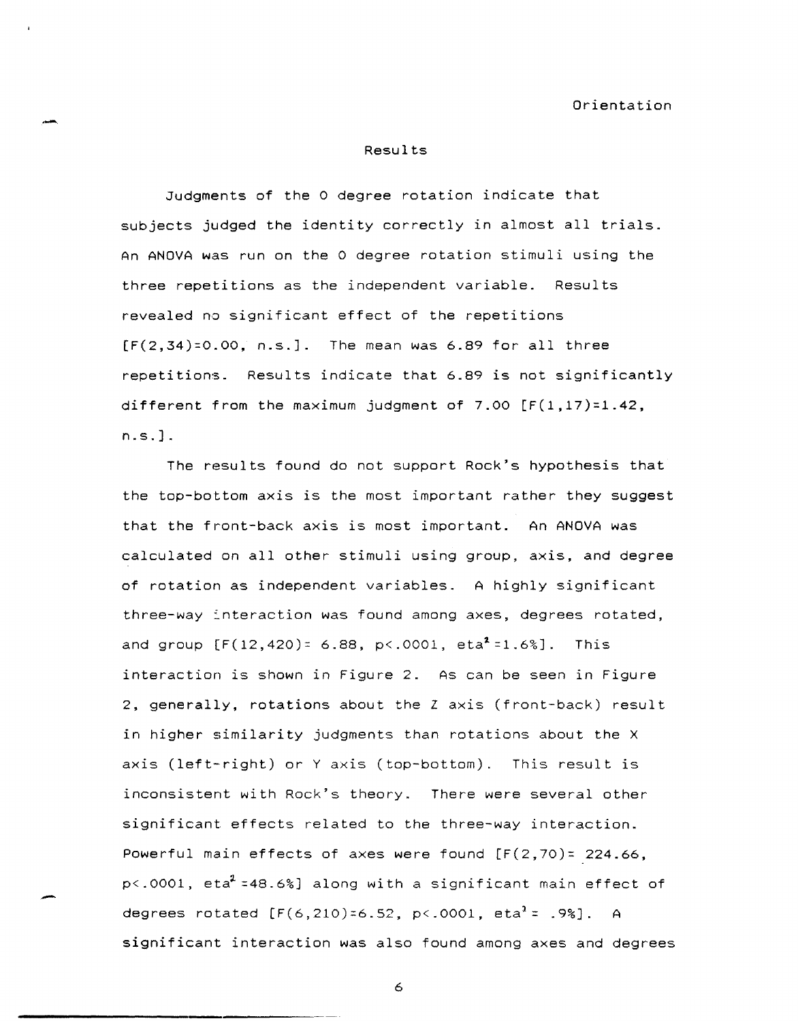#### Results

Judgments of the 0 degree rotation indicate that subjects judged the identity correctly in almost all trials. An ANOVA was run on the 0 degree rotation stimuli using the three repetitions as the independent variable. Results revealed no significant effect of the repetitions  $[F(2,34)=0.00, n.s.].$  The mean was 6.89 for all three repetitions. Results indicate that 6.89 is not significantly different from the maximum judgment of 7.00  $[F(1,17)=1.42]$ , n. s. ] .

The results found do not support Rock's hypothesis that the top-bottom axis is the most important rather they suggest that the front-back axis is most important. An ANOVA was calculated on all other stimuli using group, axis, and degree of rotation as independent variables. A highly significant three-way interaction was found among axes, degrees rotated, and group  $[F(12, 420) = 6.88, p \times 0.0001, e \times 1.68]$ . This interaction is shown in Figure 2. As can be seen in Figure 2, generally, rotations about the Z axis (front-back) result in higher similarity judgments than rotations about the X axis (left-right) or Y axis (top-bottom). This result is inconsistent with Rock's theory. There were several other significant effects related to the three-way interaction. Powerful main effects of axes were found  $[F(2,70)z 224.66,$ p<.0001, eta<sup>2</sup> =48.6%] along with a significant main effect of degrees rotated  $[F(6, 210)=6.52, p<.0001, \text{eta}^2 = .98]$ . A significant interaction was also found among axes and degrees

6

-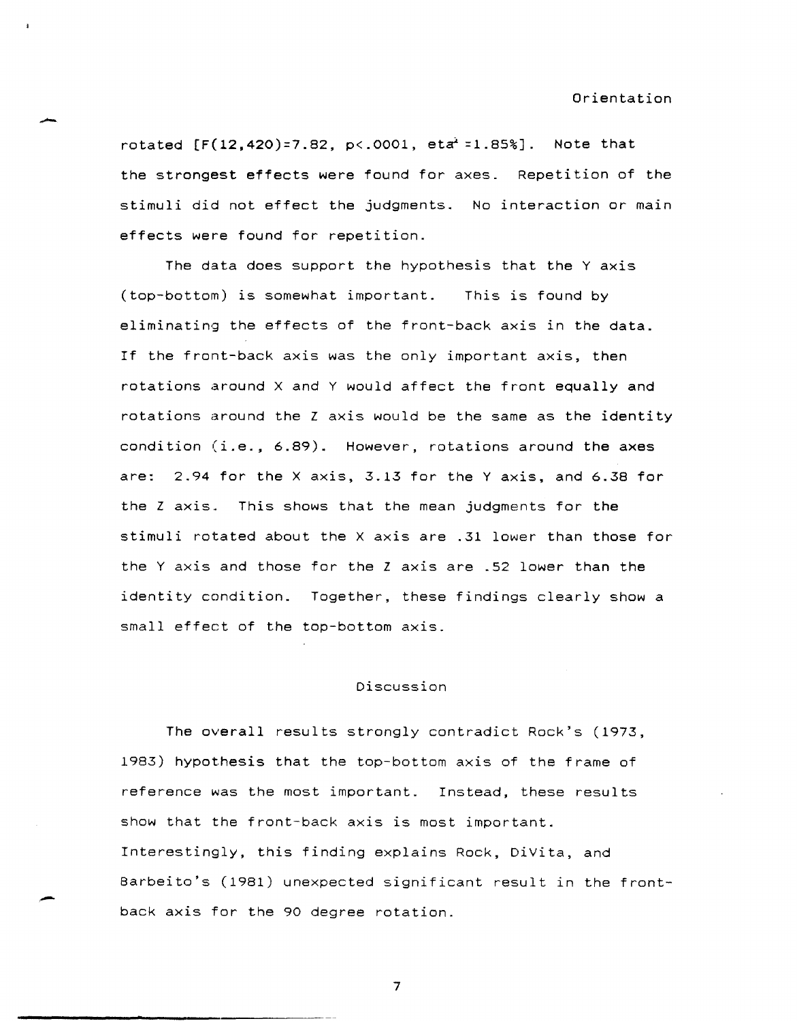rotated  $[F(12, 420)=7.82, p<.0001, etc. =1.85%]$ . Note that the strongest effects were found for axes. Repetition of the stimuli did not effect the judgments. No interaction or main effects were found for repetition.

The data does support the hypothesis that the Y axis (top-bottom) is somewhat important. This is found by eliminating the effects of the front-back axis in the data. If the front-back axis was the only important axis, then rotations around X and Y would affect the front equally and rotations around the Z axis would be the same as the identity condition (i.e., 6.89). However, rotations around the axes are: 2.94 for the X axis, 3.13 for the Y axis, and 6.38 for the Z axis. This shows that the mean judgments for the stimuli rotated about the X axis are .31 lower than those for the Y axis and those for the Z axis are .52 lower than the identity condition. Together, these findings clearly show a small effect of the top-bottom axis.

# Discussion

The overall results strongly contradict Rock's (1973, 1983) hypothesis that the top-bottom axis of the frame of reference was the most important. Instead, these results show that the front-back axis is most important. Interestingly. this finding explains Rock, DiVita, and Barbeito's (1981) unexpected significant result in the front-<br>back axis for the 90 degree rotation.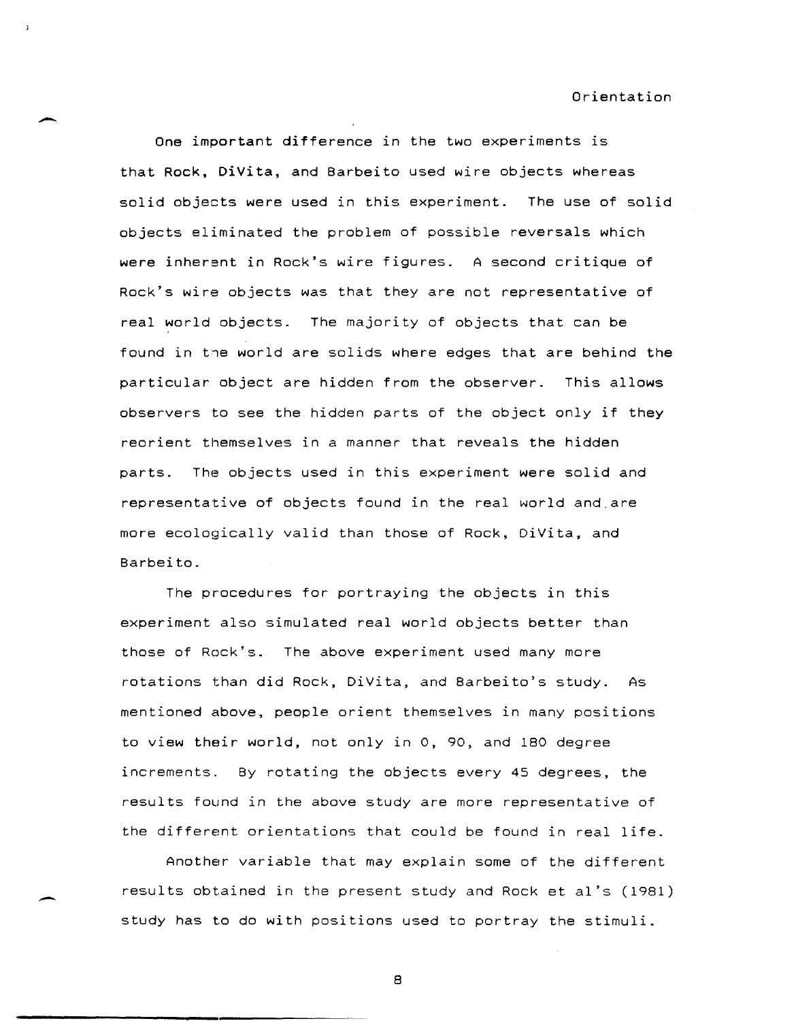One important difference in the two experiments is that Rock, DiVita, and Barbeito used wire objects whereas solid objects were used in this experiment. The use of solid objects eliminated the problem of possible reversals which were inherent in Rock's wire figures. A second critique of Rock's wire objects was that they are not representative of real world objects. The majority of objects that can be found in the world are solids where edges that are behind the particular object are hidden from the observer. This allows observers to see the hidden parts of the object only if they reorient themselves in a manner that reveals the hidden parts. The objects used in this experiment were solid and representative of objects found in the real world and.are more ecologically valid than those of Rock, DiVita, and Barbeito.

The procedures for portraying the objects in this experiment also simulated real world objects better than those of Rock's. The above experiment used many more rotations than did Rock, DiVita, and Barbeito's study. As mentioned above, people orient themselves in many positions to view their world, not only in 0, 90, and 180 degree increments. By rotating the objects every 45 degrees, the results found in the above study are more representative of the different orientations that could be found in real life.

Another variable that may explain some of the different results obtained in the present study and Rock et aI's (1981) study has to do with positions used to portray the stimuli.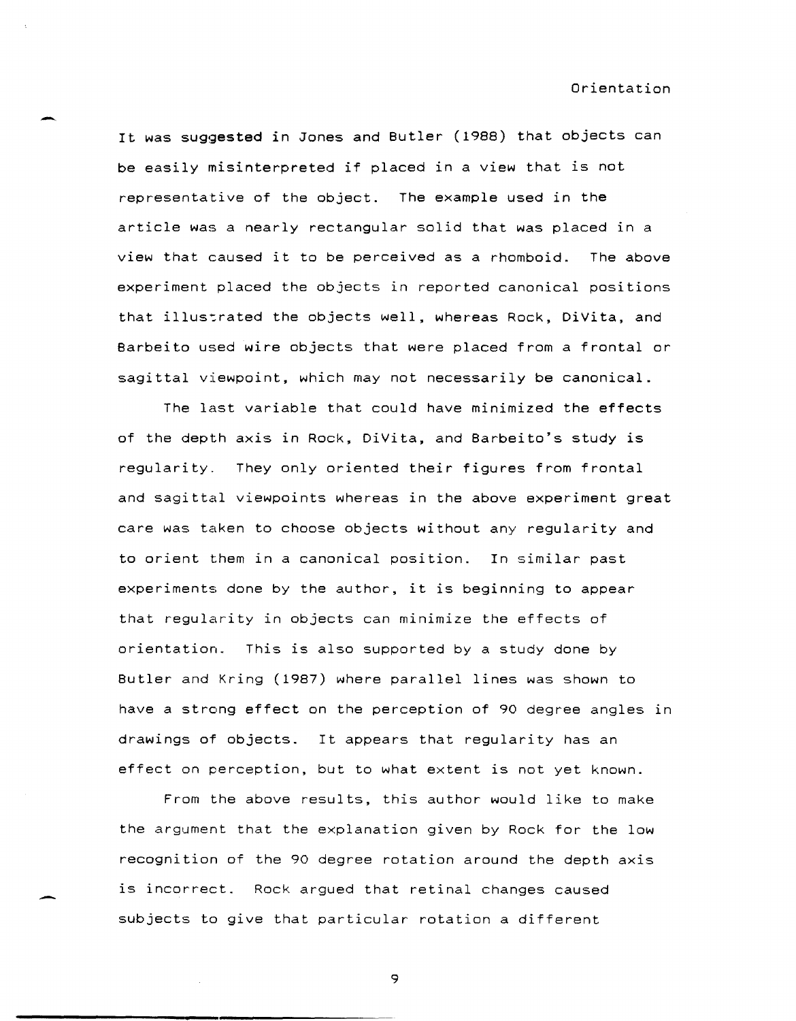It was suggested in Jones and Butler (1988) that objects can be easily misinterpreted if placed in a view that is not representative of the object. The example used in the article was a nearly rectangular solid that was placed in a view that caused it to be perceived as a rhomboid. The above experiment placed the objects in reported canonical positions that illustrated the objects well, whereas Rock, DiVita, and Barbeito used wire objects that were placed from a frontal or sagittal viewpoint, which may not necessarily be canonical.

The last variable that could have minimized the effects of the depth axis in Rock, DiVita, and Barbeito's study is regularity. They only oriented their figures from frontal and sagittal viewpoints whereas in the above experiment great care was taken to choose objects without any regularity and to orient them in a canonical position. In similar past experiments done by the author, it is beginning to appear that regularity in objects can minimize the effects of orientation. This is also supported by a study done by Butler and Kring (1987) where parallel lines was shown to have a strong effect on the perception of 90 degree angles in drawings of objects. It appears that regularity has an effect on perception, but to what extent is not yet known.

From the above results, this author would like to make the argument that the explanation given by Rock for the low recognition of the 90 degree rotation around the depth axis is incorrect. Rock argued that retinal changes caused subjects to give that particular rotation a different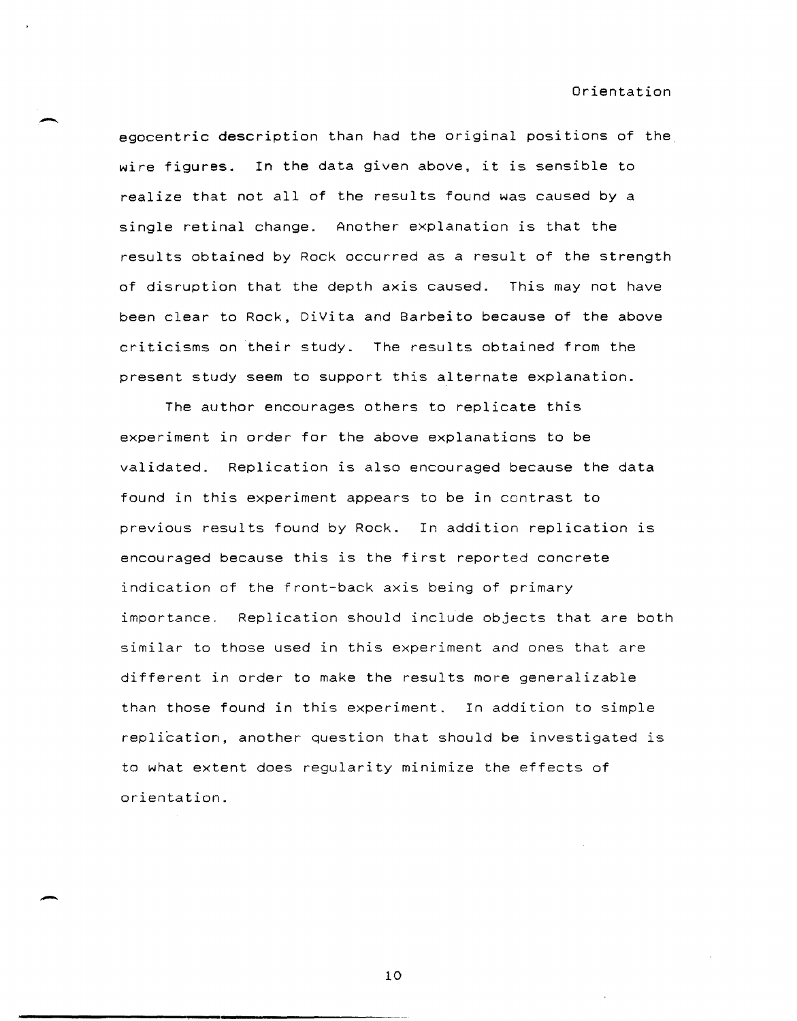egocentric description than had the original positions of the wire figures. In the data given above, it is sensible to realize that not all of the results found was caused by a single retinal change. Another explanation is that the results obtained by Rock occurred as a result of the strength of disruption that the depth axis caused. This may not have been clear to Rock, DiVita and Barbeito because of the above criticisms on their study. The results obtained from the present study seem to support this alternate explanation.

The author encourages others to replicate this experiment in order for the above explanations to be validated. Replication is also encouraged because the data found in this experiment appears to be in contrast to previous results found by Rock. In addition replication is encouraged because this is the first reported concrete indication of the front-back axis being of primary importance. Replication should include objects that are both similar to those used in this experiment and ones that are different in order to make the results more generalizable than those found in this experiment. In addition to simple replication, another question that should be investigated is to what extent does regularity minimize the effects of orientation.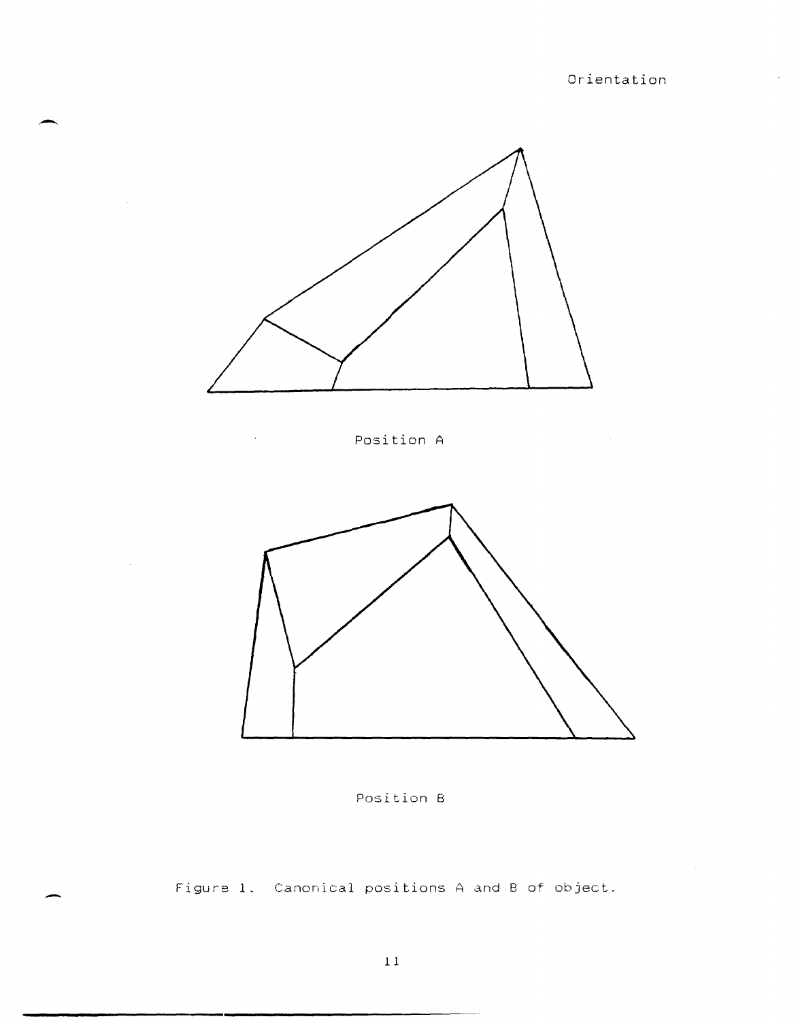$\sim$ 

 $\bar{\mathcal{A}}$ 



-

-

 $\hat{\mathcal{A}}$ 

Position A

 $\sim 10^7$ 





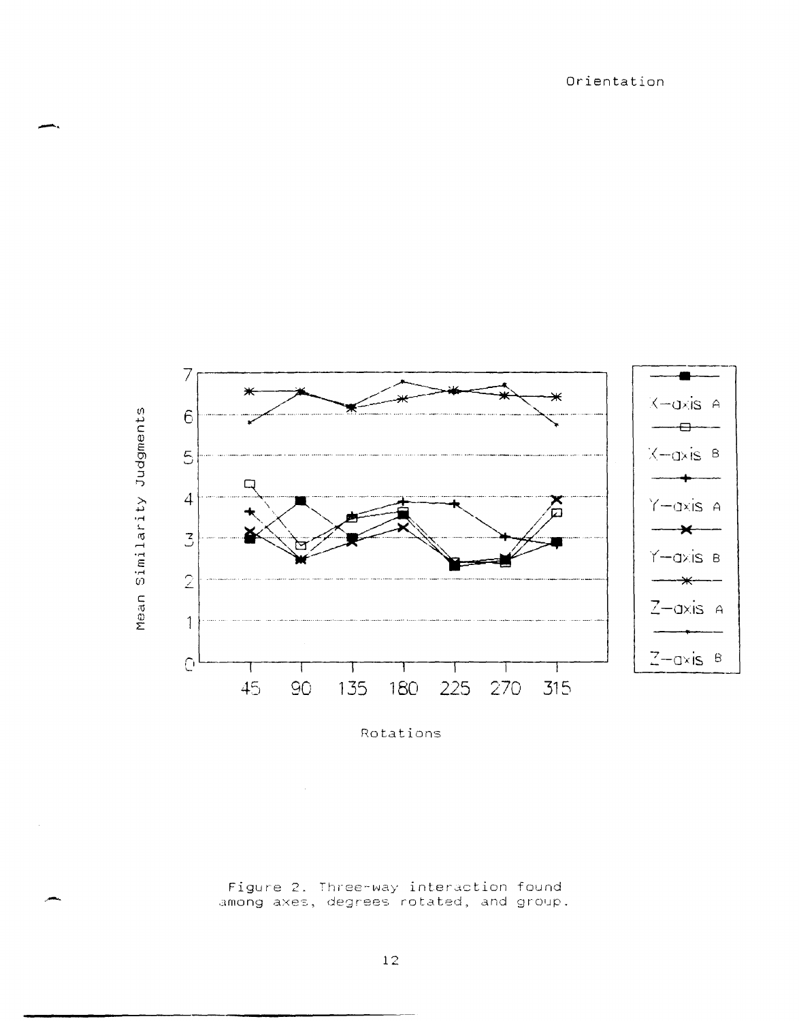

-.

Rotations

Figure 2. Three-way interaction found among axes, degrees rotated, and group.